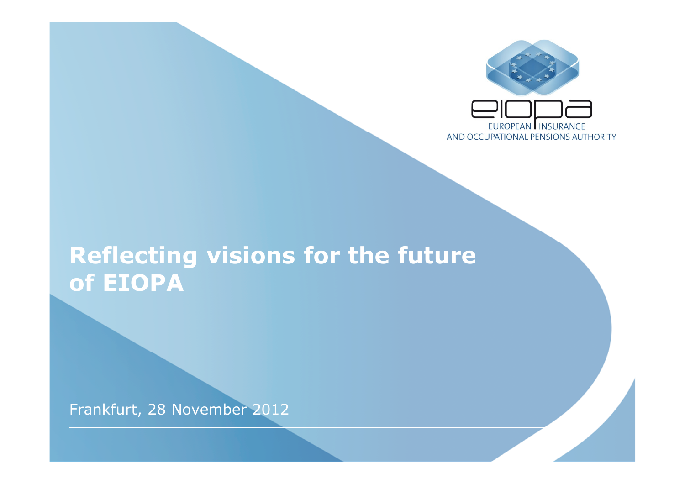

#### **Reflecting visions for the future of EIOPA**

Frankfurt, 28 November 2012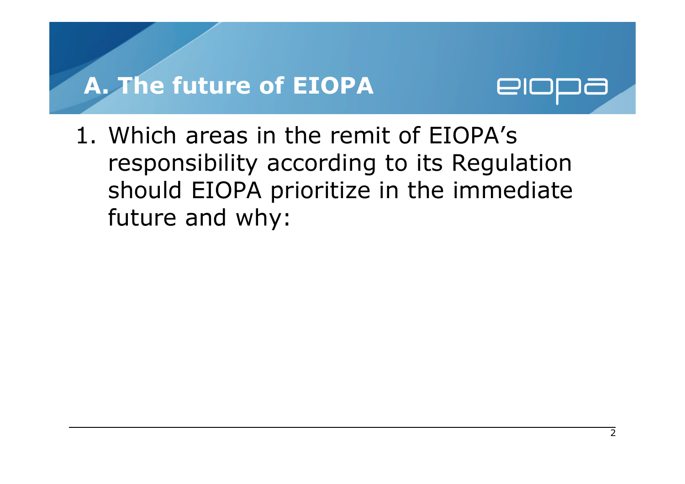#### **A. The future of EIOPA**



1. Which areas in the remit of EIOPA's responsibility according to its Regulation should EIOPA prioritize in the immediate future and why: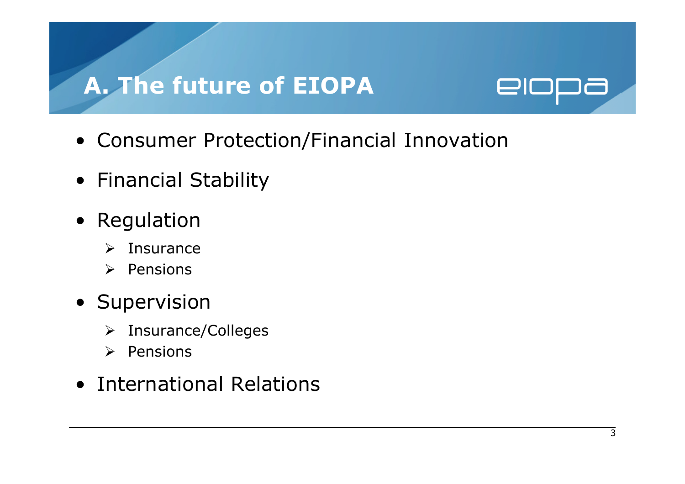## **A. The future of EIOPA**



- Consumer Protection/Financial Innovation
- Financial Stability
- Regulation
	- $\blacktriangleright$ Insurance
	- $\triangleright$  Pensions
- Supervision
	- > Insurance/Colleges
	- $\triangleright$  Pensions
- International Relations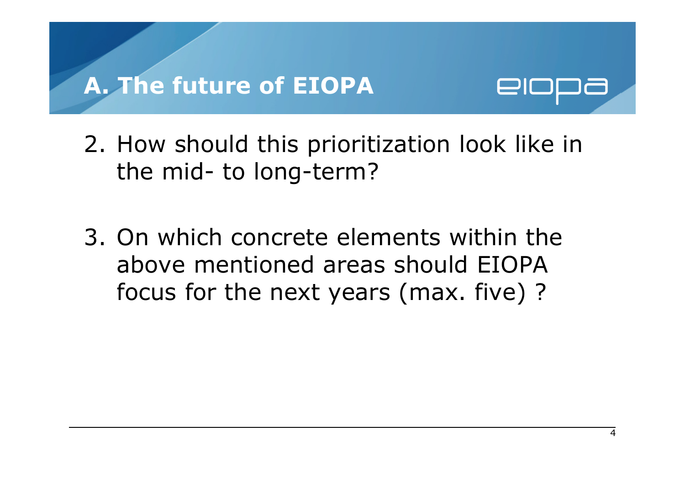#### **A. The future of EIOPA**



- 2. How should this prioritization look like in the mid- to long-term?
- 3. On which concrete elements within the above mentioned areas should EIOPA focus for the next years (max. five) ?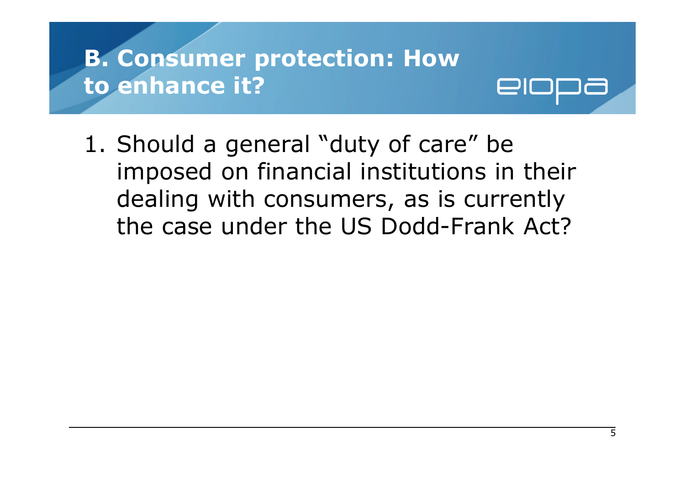1. Should a general "duty of care" be imposed on financial institutions in their dealing with consumers, as is currently the case under the US Dodd-Frank Act?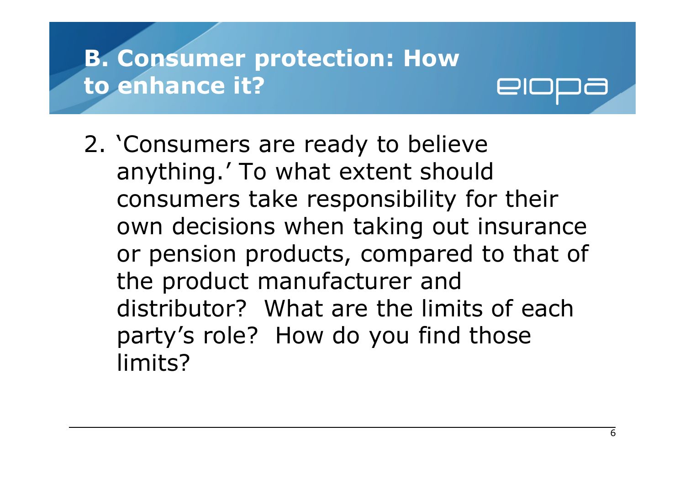2. 'Consumers are ready to believe anything.' To what extent should consumers take responsibility for their own decisions when taking out insurance or pension products, compared to that of the product manufacturer and distributor? What are the limits of each party's role? How do you find those limits?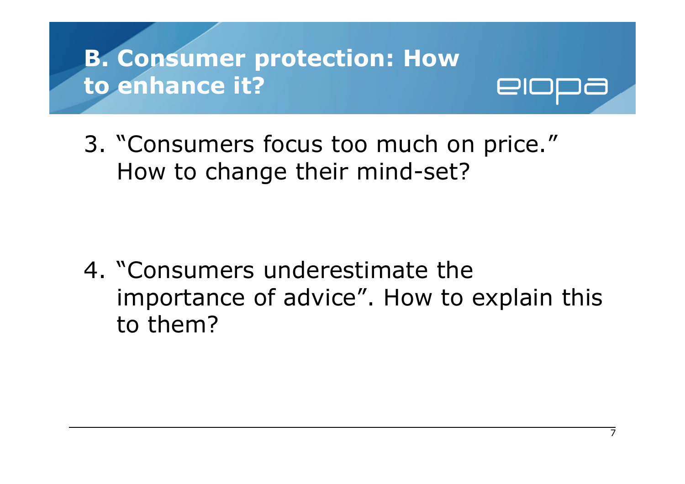3. "Consumers focus too much on price." How to change their mind-set?

4. "Consumers underestimate the importance of advice". How to explain this to them?